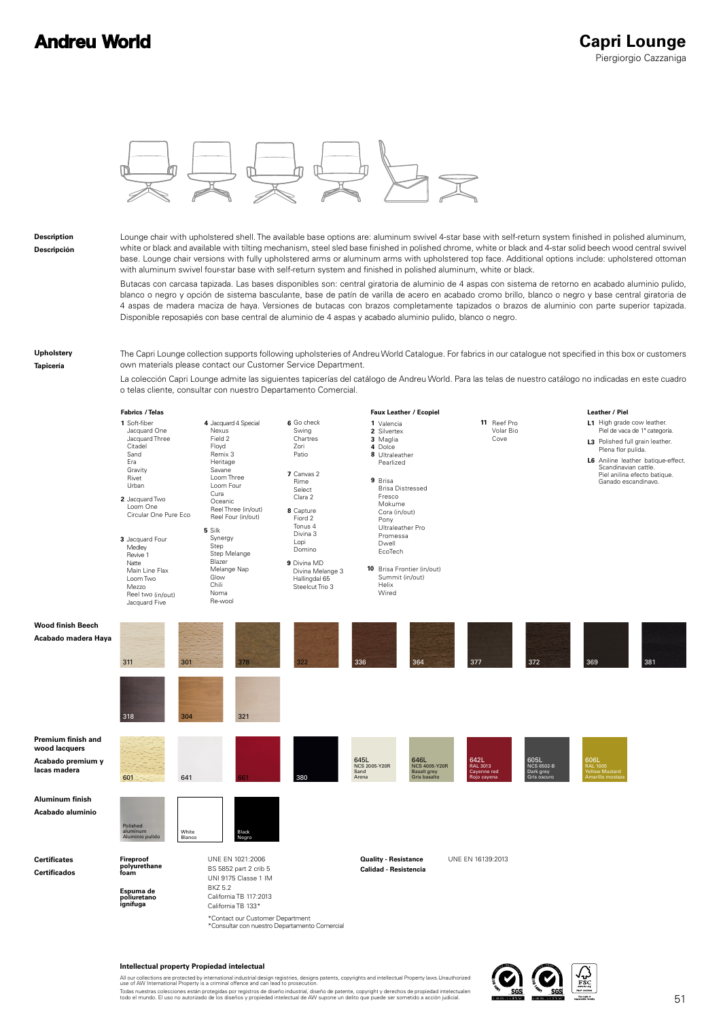### **Andreu World**



**Description Descripción**

Lounge chair with upholstered shell. The available base options are: aluminum swivel 4-star base with self-return system finished in polished aluminum, white or black and available with tilting mechanism, steel sled base finished in polished chrome, white or black and 4-star solid beech wood central swivel base. Lounge chair versions with fully upholstered arms or aluminum arms with upholstered top face. Additional options include: upholstered ottoman with aluminum swivel four-star base with self-return system and finished in polished aluminum, white or black.

Butacas con carcasa tapizada. Las bases disponibles son: central giratoria de aluminio de 4 aspas con sistema de retorno en acabado aluminio pulido, blanco o negro y opción de sistema basculante, base de patín de varilla de acero en acabado cromo brillo, blanco o negro y base central giratoria de 4 aspas de madera maciza de haya. Versiones de butacas con brazos completamente tapizados o brazos de aluminio con parte superior tapizada. Disponible reposapiés con base central de aluminio de 4 aspas y acabado aluminio pulido, blanco o negro.

**Upholstery**

**Tapicería**

The Capri Lounge collection supports following upholsteries of Andreu World Catalogue. For fabrics in our catalogue not specified in this box or customers own materials please contact our Customer Service Department.

La colección Capri Lounge admite las siguientes tapicerías del catálogo de Andreu World. Para las telas de nuestro catálogo no indicadas en este cuadro o telas cliente, consultar con nuestro Departamento Comercial.



#### **Intellectual property Propiedad intelectual**

All our collections are protected by international industrial design registries, designs patents, copyrights and intellectual Property laws.Unauthorized<br>use of AW International Property is a criminal offence and can lead t Todas nuestras colecciones están protegidas por registros de diseño industrial, diseño de patente, copyright y derechos de propiedad intelectualen<br>todo el mundo. El uso no autorizado de los diseños y propiedad intelectual

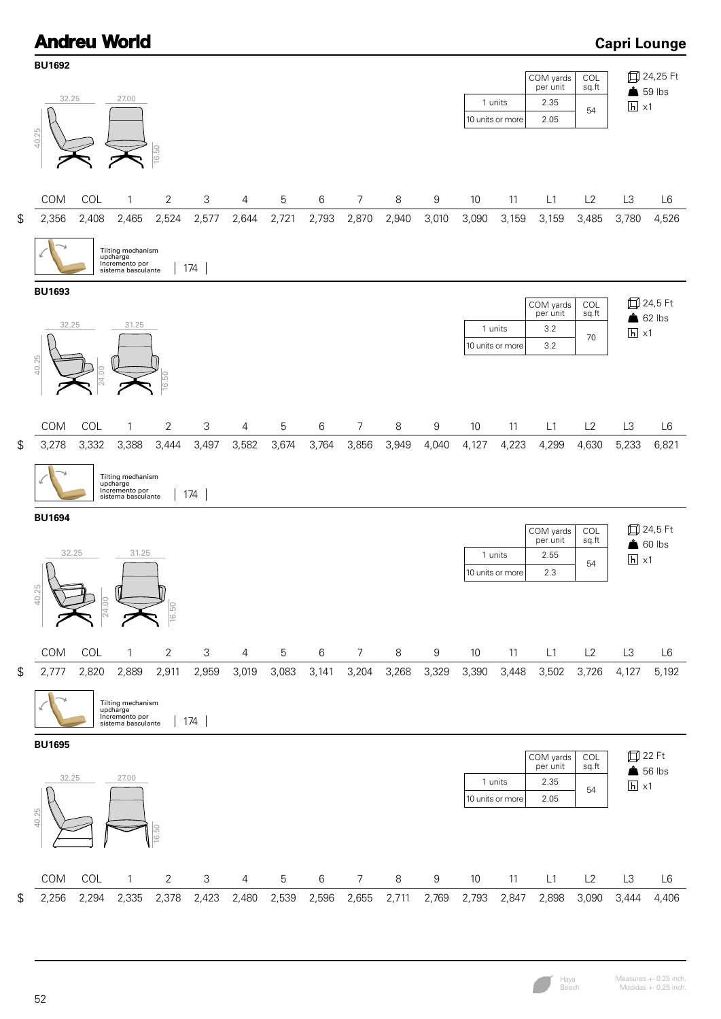

Measures +- 0.25 inch. Medidas +- 0.25 inch.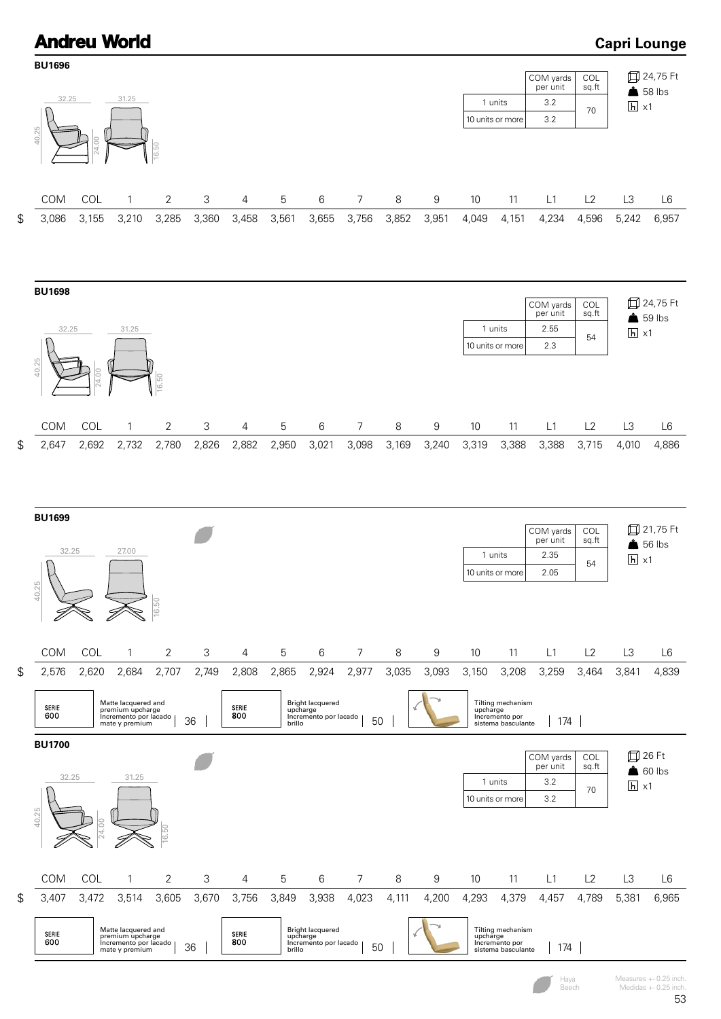# **Andreu World**

**Capri Lounge**

| <b>BU1696</b> |       |                                                                                    |                |       |              |        |                                                              |                |         |                  |          |                                                           |                       |              |                   |                   |
|---------------|-------|------------------------------------------------------------------------------------|----------------|-------|--------------|--------|--------------------------------------------------------------|----------------|---------|------------------|----------|-----------------------------------------------------------|-----------------------|--------------|-------------------|-------------------|
|               |       |                                                                                    |                |       |              |        |                                                              |                |         |                  |          |                                                           | COM yards<br>per unit | COL<br>sq.ft | $$58$ lbs         | 口 24,75 Ft        |
| 32.25         |       | 31.25                                                                              |                |       |              |        |                                                              |                |         |                  |          | 1 units                                                   | 3.2                   | 70           | $\overline{h}$ x1 |                   |
| 40.25         | 24.00 |                                                                                    | 16.50          |       |              |        |                                                              |                |         |                  |          | 10 units or more                                          | 3.2                   |              |                   |                   |
| COM           | COL   | 1                                                                                  | 2              | 3     | 4            | 5      | 6                                                            | 7              | 8       | 9                | 10       | 11                                                        | L1                    | L2           | L3                | L6                |
| \$<br>3,086   | 3,155 | 3,210                                                                              | 3,285          | 3,360 | 3,458        | 3,561  | 3,655                                                        | 3,756          | 3,852   | 3,951            | 4,049    | 4,151                                                     | 4,234                 | 4,596        | 5,242             | 6,957             |
|               |       |                                                                                    |                |       |              |        |                                                              |                |         |                  |          |                                                           |                       |              |                   |                   |
| <b>BU1698</b> |       |                                                                                    |                |       |              |        |                                                              |                |         |                  |          |                                                           | COM yards             | COL          |                   | <b>□ 24,75 Ft</b> |
|               |       |                                                                                    |                |       |              |        |                                                              |                |         |                  |          |                                                           | per unit              | sq.ft        | $$59$ lbs         |                   |
| 32.25         |       | 31.25                                                                              |                |       |              |        |                                                              |                |         |                  |          | 1 units<br>10 units or more                               | 2.55<br>2.3           | 54           | $h \times 1$      |                   |
| 40.25         | 24.00 |                                                                                    | 16.50          |       |              |        |                                                              |                |         |                  |          |                                                           |                       |              |                   |                   |
| COM           | COL   | $\mathbf{1}$                                                                       | 2              | 3     | 4            | 5      | $\,6$                                                        | $\overline{7}$ | $\,8\,$ | $\boldsymbol{9}$ | 10       | 11                                                        | L1                    | L2           | L3                | L <sub>6</sub>    |
| \$<br>2,647   | 2,692 | 2,732                                                                              | 2,780          | 2,826 | 2,882        | 2,950  | 3,021                                                        | 3,098          | 3,169   | 3,240            | 3,319    | 3,388                                                     | 3,388                 | 3,715        | 4,010             | 4,886             |
| <b>BU1699</b> |       |                                                                                    |                |       |              |        |                                                              |                |         |                  |          |                                                           |                       |              |                   |                   |
|               |       |                                                                                    |                |       |              |        |                                                              |                |         |                  |          |                                                           | COM yards<br>per unit | COL<br>sq.ft | $$56$ lbs         | <b>□ 21,75 Ft</b> |
| 32.25         |       | 27.00                                                                              |                |       |              |        |                                                              |                |         |                  |          | 1 units                                                   | 2.35                  | 54           | $\overline{h}$ x1 |                   |
| 40.25         |       |                                                                                    | 16.50          |       |              |        |                                                              |                |         |                  |          | 10 units or more                                          | 2.05                  |              |                   |                   |
|               |       |                                                                                    |                |       |              |        |                                                              |                |         |                  |          |                                                           |                       |              |                   |                   |
| COM           | COL   | $\mathbf{1}$                                                                       | $\overline{2}$ | 3     | 4            | 5      | $\,6$                                                        | $\overline{7}$ | 8       | $\boldsymbol{9}$ | 10       | 11                                                        | L1                    | L2           | L3                | L <sub>6</sub>    |
| \$<br>2,576   | 2,620 | 2,684                                                                              | 2,707          | 2,749 | 2,808        | 2,865  | 2,924                                                        | 2,977          | 3,035   | 3,093            | 3,150    | 3,208                                                     | 3,259                 | 3,464        | 3,841             | 4,839             |
| SERIE<br>600  |       | Matte lacquered and<br>premium upcharge<br>Incremento por lacado<br>mate y premium |                | 36    | SERIE<br>800 | brillo | <b>Bright lacquered</b><br>upcharge<br>Incremento por lacado | 50             |         |                  | upcharge | Tilting mechanism<br>Incremento por<br>sistema basculante | 174                   |              |                   |                   |
| <b>BU1700</b> |       |                                                                                    |                |       |              |        |                                                              |                |         |                  |          |                                                           |                       |              |                   |                   |
|               |       |                                                                                    |                |       |              |        |                                                              |                |         |                  |          |                                                           | COM yards<br>per unit | COL<br>sq.ft | 口 26 Ft           | $\log$ 60 lbs     |
| 32.25         |       | 31.25                                                                              |                |       |              |        |                                                              |                |         |                  |          | 1 units                                                   | 3.2                   | 70           | $\overline{h}$ x1 |                   |
| 40.25         |       |                                                                                    | 6.5(           |       |              |        |                                                              |                |         |                  |          | 10 units or more                                          | 3.2                   |              |                   |                   |
| COM           | COL   | 1                                                                                  | 2              | 3     | 4            | 5      | 6                                                            | 7              | 8       | 9                | 10       | 11                                                        | L1                    | L2           | L3                | L <sub>6</sub>    |
| \$<br>3,407   | 3,472 | 3,514                                                                              | 3,605          | 3,670 | 3,756        | 3,849  | 3,938                                                        | 4,023          | 4,111   | 4,200            | 4,293    | 4,379                                                     | 4,457                 | 4,789        | 5,381             | 6,965             |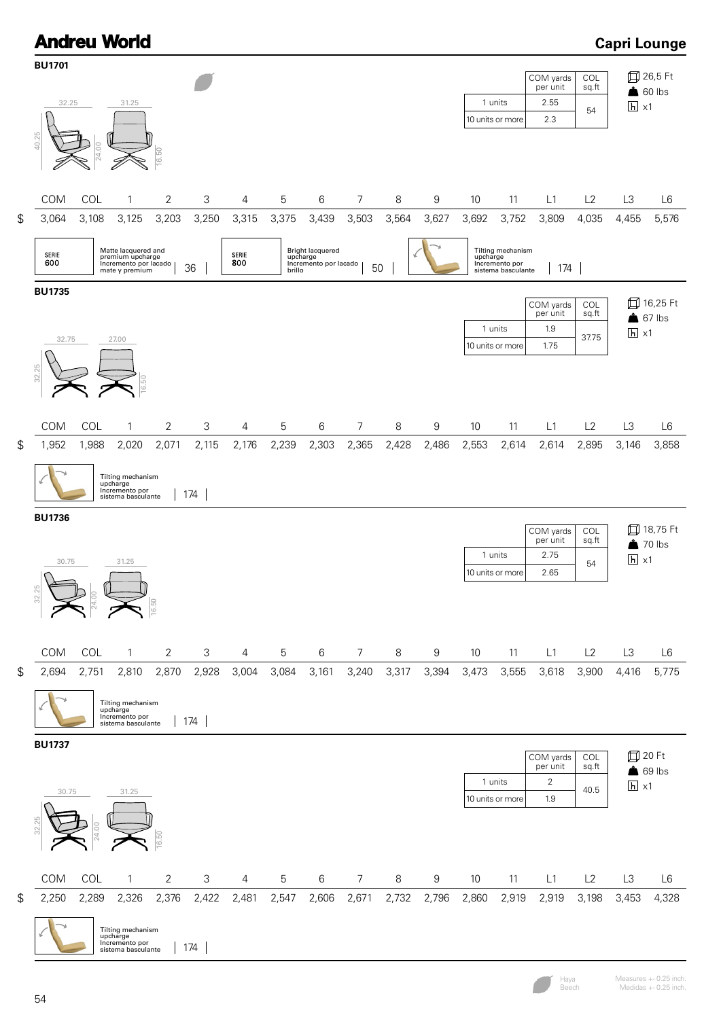

Measures +- 0.25 inch. Medidas +- 0.25 inch.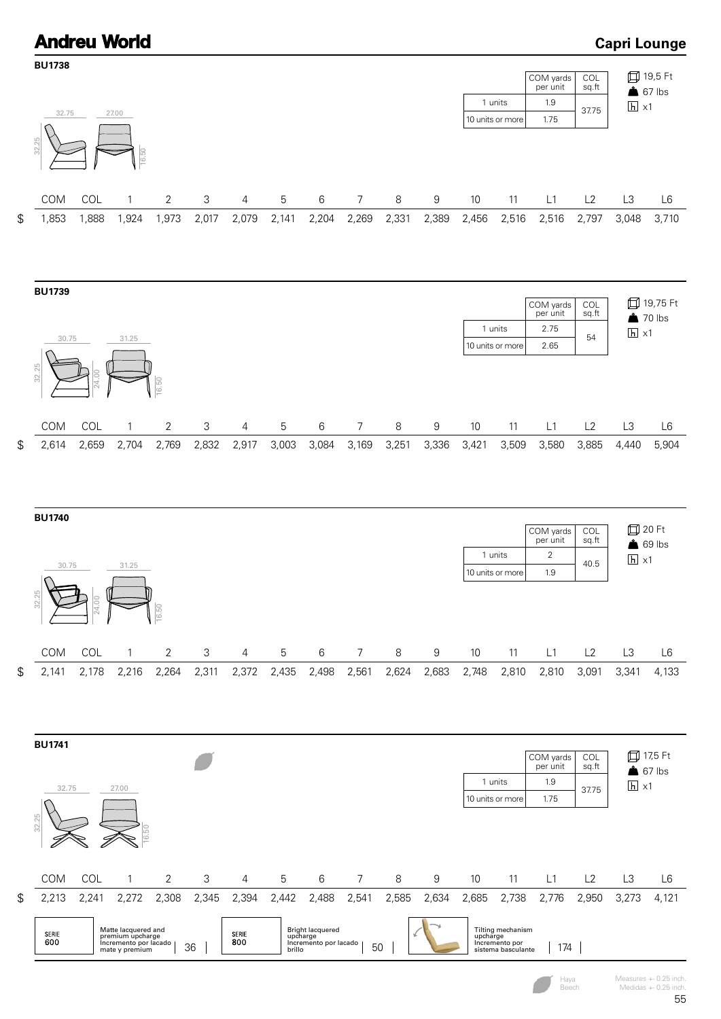

Measures +- 0.25 inch. Medidas +- 0.25 inch.

### 55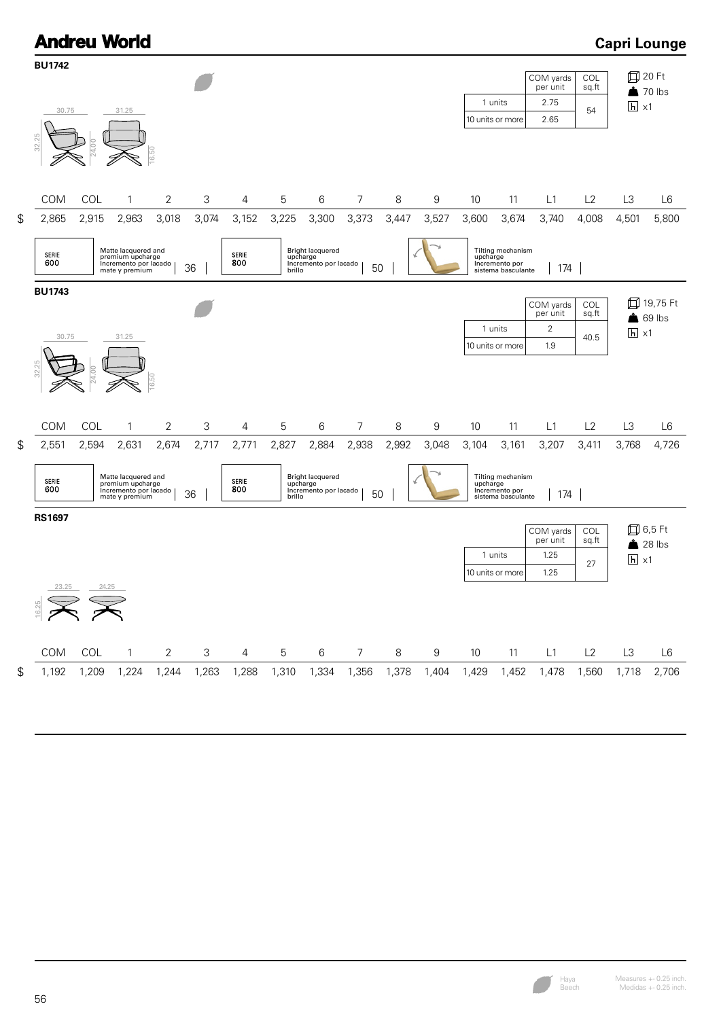